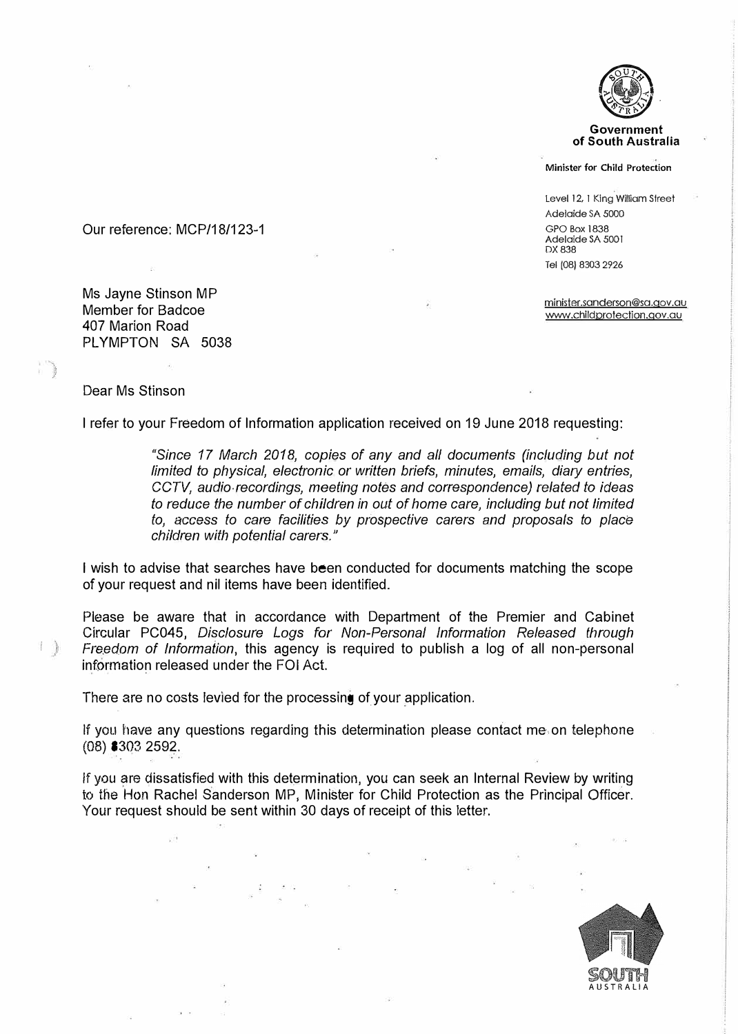

**Government of South Australia** 

**Minister for Child Protection** 

**level 12, 1 King William Street**  Adelaide SA 5000 GPO Box 1838 Adelaide SA 5001 DX838 Tel (08) 8303 2926

**minister.sanderson@sa.gov.au www.childprotection.qov.au** 

Our reference: MCP/18/123-1

Ms Jayne Stinson MP Member for Badcoe 407 Marion Road PLYMPTON SA 5038

## Dear Ms Stinson

注.

I refer to your Freedom of Information application received on 19 June 2018 requesting:

*"Since 17 March 2018, copies of any and all documents (including but not limited to physical, electronic or written briefs, minutes, emails, diary entries, CCTV, audio recordings, meeting notes and correspondence) related to ideas to reduce the number of children in out of home care, including but not limited to,* access *to care facilities by prospective carers and proposals to place children with potential carers."* 

I wish to advise that searches have been conducted for documents matching the scope of your request and nil items have been identified.

Please be aware that in accordance with Department of the Premier and Cabinet Circular PC045, *Disclosure* Logs *for Non-Personal Information Released through Freedom of Information, this agency is required to publish a log of all non-personal* information released under the FOi Act.

There are no costs levied for the processing of your application.

If you have any questions regarding this determination please contact me on telephone (08) 8303 2592.

If you are dissatisfied with this determination, you can seek an Internal Review by writing to the Hon Rachel Sanderson MP, Minister for Child Protection as the Principal Officer. Your request should be sent within 30 days of receipt of this letter.

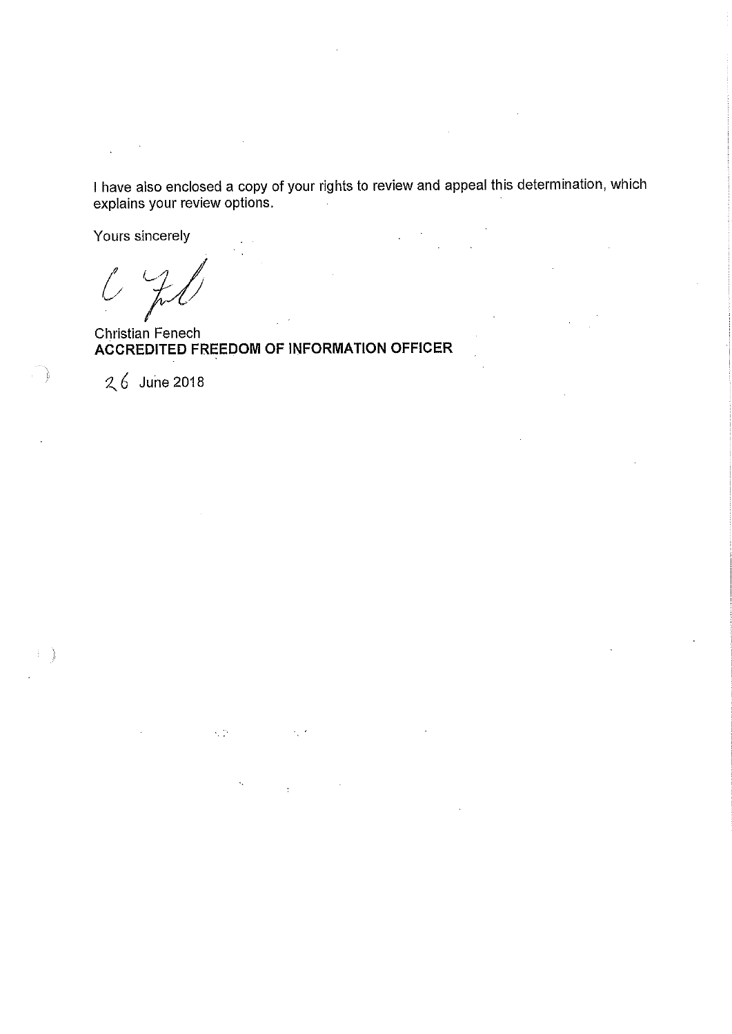I have also enclosed a copy of your rights to review and appeal this determination, which explains your review options.

Yours sincerely

 $\int$ 

Christian Fenech ACCREDITED FREEDOM OF INFORMATION OFFICER

 $\lesssim \frac{1}{2}$ 

26 June 2018